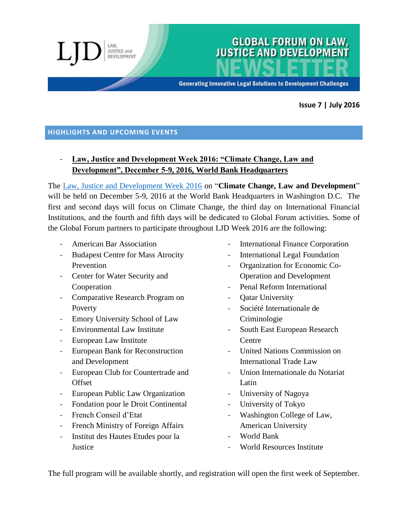**Generating Innovative Legal Solutions to Development Challenges** 

**GLOBAL FORUM ON LAW, JUSTICE AND DEVELOPMENT** 

#### **Issue 7 | July 2016**

#### **HIGHLIGHTS AND UPCOMING EVENTS**

JUSTICE and DEVELOPMENT

# - **Law, Justice and Development Week 2016: "Climate Change, Law and Development", December 5-9, 2016, World Bank Headquarters**

The [Law, Justice and Development Week 2016](http://www.worldbank.org/en/events/2016/12/05/law-justice-and-development-week-2016) on "**Climate Change, Law and Development**" will be held on December 5-9, 2016 at the World Bank Headquarters in Washington D.C. The first and second days will focus on Climate Change, the third day on International Financial Institutions, and the fourth and fifth days will be dedicated to Global Forum activities. Some of the Global Forum partners to participate throughout LJD Week 2016 are the following:

- American Bar Association
- Budapest Centre for Mass Atrocity Prevention
- Center for Water Security and Cooperation
- Comparative Research Program on Poverty
- Emory University School of Law
- Environmental Law Institute
- European Law Institute
- European Bank for Reconstruction and Development
- European Club for Countertrade and **Offset**
- European Public Law Organization
- Fondation pour le Droit Continental
- French Conseil d'Etat
- French Ministry of Foreign Affairs
- Institut des Hautes Etudes pour la **Justice**
- International Finance Corporation
- International Legal Foundation
- Organization for Economic Co-Operation and Development
- Penal Reform International
- Oatar University
- Société Internationale de Criminologie
- South East European Research Centre
- United Nations Commission on International Trade Law
- Union Internationale du Notariat Latin
- University of Nagoya
- University of Tokyo
- Washington College of Law, American University
- World Bank
- World Resources Institute

The full program will be available shortly, and registration will open the first week of September.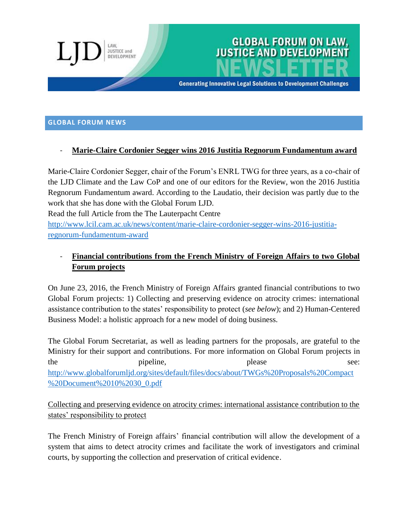

# **GLOBAL FORUM ON LAW,<br>JUSTICE AND DEVELOPMENT**

**Generating Innovative Legal Solutions to Development Challenges** 

#### **GLOBAL FORUM NEWS**

#### - **Marie-Claire Cordonier Segger wins 2016 Justitia Regnorum Fundamentum award**

Marie-Claire Cordonier Segger, chair of the Forum's ENRL TWG for three years, as a co-chair of the LJD Climate and the Law CoP and one of our editors for the Review, won the 2016 Justitia Regnorum Fundamentum award. According to the Laudatio, their decision was partly due to the work that she has done with the Global Forum LJD.

Read the full Article from the The Lauterpacht Centre

[http://www.lcil.cam.ac.uk/news/content/marie-claire-cordonier-segger-wins-2016-justitia](http://www.lcil.cam.ac.uk/news/content/marie-claire-cordonier-segger-wins-2016-justitia-regnorum-fundamentum-award)[regnorum-fundamentum-award](http://www.lcil.cam.ac.uk/news/content/marie-claire-cordonier-segger-wins-2016-justitia-regnorum-fundamentum-award)

# - **Financial contributions from the French Ministry of Foreign Affairs to two Global Forum projects**

On June 23, 2016, the French Ministry of Foreign Affairs granted financial contributions to two Global Forum projects: 1) Collecting and preserving evidence on atrocity crimes: international assistance contribution to the states' responsibility to protect (*see below*); and 2) Human-Centered Business Model: a holistic approach for a new model of doing business.

The Global Forum Secretariat, as well as leading partners for the proposals, are grateful to the Ministry for their support and contributions. For more information on Global Forum projects in the pipeline, pipeline, please see: [http://www.globalforumljd.org/sites/default/files/docs/about/TWGs%20Proposals%20Compact](http://www.globalforumljd.org/sites/default/files/docs/about/TWGs%20Proposals%20Compact%20Document%2010%2030_0.pdf) [%20Document%2010%2030\\_0.pdf](http://www.globalforumljd.org/sites/default/files/docs/about/TWGs%20Proposals%20Compact%20Document%2010%2030_0.pdf)

Collecting and preserving evidence on atrocity crimes: international assistance contribution to the states' responsibility to protect

The French Ministry of Foreign affairs' financial contribution will allow the development of a system that aims to detect atrocity crimes and facilitate the work of investigators and criminal courts, by supporting the collection and preservation of critical evidence.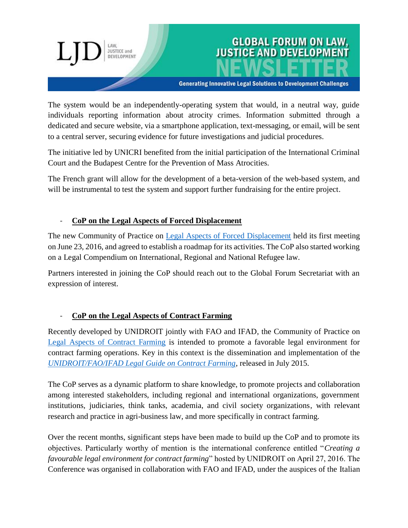

**Generating Innovative Legal Solutions to Development Challenges** 

The system would be an independently-operating system that would, in a neutral way, guide individuals reporting information about atrocity crimes. Information submitted through a dedicated and secure website, via a smartphone application, text-messaging, or email, will be sent to a central server, securing evidence for future investigations and judicial procedures.

The initiative led by UNICRI benefited from the initial participation of the International Criminal Court and the Budapest Centre for the Prevention of Mass Atrocities.

The French grant will allow for the development of a beta-version of the web-based system, and will be instrumental to test the system and support further fundraising for the entire project.

#### - **CoP on the Legal Aspects of Forced Displacement**

**JUSTICE and** DEVELOPMENT

The new Community of Practice on [Legal Aspects of Forced Displacement](http://globalforumljd.org/cops/legal-aspects-forced-displacement) held its first meeting on June 23, 2016, and agreed to establish a roadmap for its activities. The CoP also started working on a Legal Compendium on International, Regional and National Refugee law.

Partners interested in joining the CoP should reach out to the Global Forum Secretariat with an expression of interest.

### - **CoP on the Legal Aspects of Contract Farming**

Recently developed by UNIDROIT jointly with FAO and IFAD, the Community of Practice on [Legal Aspects of Contract Farming](http://globalforumljd.org/cops/legal-aspects-contract-farming) is intended to promote a favorable legal environment for contract farming operations. Key in this context is the dissemination and implementation of the *[UNIDROIT/FAO/IFAD Legal Guide on Contract Farming](http://www.unidroit.org/work-in-progress-studies/current-studies/contract-farming)*, released in July 2015.

The CoP serves as a dynamic platform to share knowledge, to promote projects and collaboration among interested stakeholders, including regional and international organizations, government institutions, judiciaries, think tanks, academia, and civil society organizations, with relevant research and practice in agri-business law, and more specifically in contract farming.

Over the recent months, significant steps have been made to build up the CoP and to promote its objectives. Particularly worthy of mention is the international conference entitled "*Creating a favourable legal environment for contract farming*" hosted by UNIDROIT on April 27, 2016. The Conference was organised in collaboration with FAO and IFAD, under the auspices of the Italian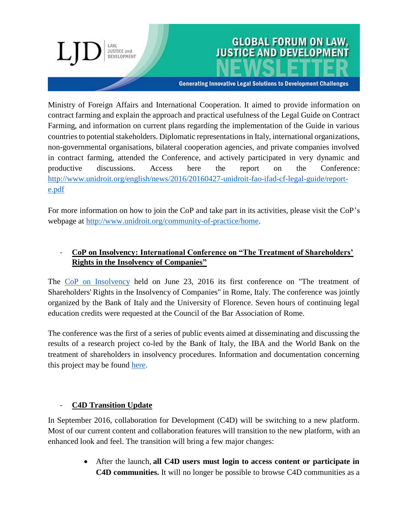# JUSTICE and DEVELOPMENT

# **GLOBAL FORUM ON LAW, JUSTICE AND DEVELOPMENT**

**Generating Innovative Legal Solutions to Development Challenges** 

Ministry of Foreign Affairs and International Cooperation. It aimed to provide information on contract farming and explain the approach and practical usefulness of the Legal Guide on Contract Farming, and information on current plans regarding the implementation of the Guide in various countries to potential stakeholders. Diplomatic representations in Italy, international organizations, non-governmental organisations, bilateral cooperation agencies, and private companies involved in contract farming, attended the Conference, and actively participated in very dynamic and productive discussions. Access here the report on the Conference: [http://www.unidroit.org/english/news/2016/20160427-unidroit-fao-ifad-cf-legal-guide/report](http://www.unidroit.org/english/news/2016/20160427-unidroit-fao-ifad-cf-legal-guide/report-e.pdf)[e.pdf](http://www.unidroit.org/english/news/2016/20160427-unidroit-fao-ifad-cf-legal-guide/report-e.pdf)

For more information on how to join the CoP and take part in its activities, please visit the CoP's webpage at [http://www.unidroit.org/community-of-practice/home.](http://www.unidroit.org/community-of-practice/home)

# - **CoP on Insolvency: International Conference on "The Treatment of Shareholders' Rights in the Insolvency of Companies"**

The CoP [on Insolvency](http://globalforumljd.org/cops/insolvency-and-creditordebtor-regimes) held on June 23, 2016 its first conference on "The treatment of Shareholders' Rights in the Insolvency of Companies" in Rome, Italy. The conference was jointly organized by the Bank of Italy and the University of Florence. Seven hours of continuing legal education credits were requested at the Council of the Bar Association of Rome.

The conference was the first of a series of public events aimed at disseminating and discussing the results of a research project co-led by the Bank of Italy, the IBA and the World Bank on the treatment of shareholders in insolvency procedures. Information and documentation concerning this project may be found [here.](http://globalforumljd.org/sites/default/files/docs/events/2016%20conference%20program.pdf)

#### - **C4D Transition Update**

In September 2016, collaboration for Development (C4D) will be switching to a new platform. Most of our current content and collaboration features will transition to the new platform, with an enhanced look and feel. The transition will bring a few major changes:

> After the launch, **all C4D users must login to access content or participate in C4D communities.** It will no longer be possible to browse C4D communities as a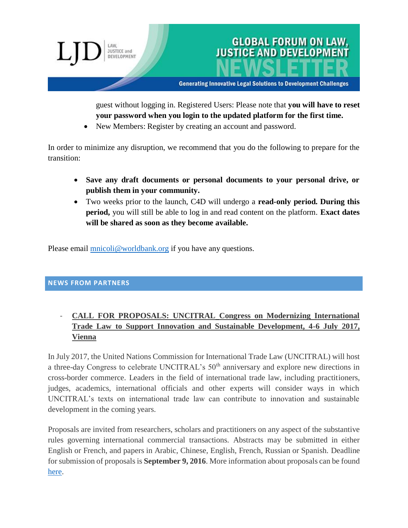

guest without logging in. Registered Users: Please note that **you will have to reset your password when you login to the updated platform for the first time.**

• New Members: Register by creating an account and password.

In order to minimize any disruption, we recommend that you do the following to prepare for the transition:

- **Save any draft documents or personal documents to your personal drive, or publish them in your community.**
- Two weeks prior to the launch, C4D will undergo a **read-only period. During this period,** you will still be able to log in and read content on the platform. **Exact dates will be shared as soon as they become available.**

Please email **mnicoli@worldbank.org** if you have any questions.

#### **NEWS FROM PARTNERS**

# - **CALL FOR PROPOSALS: UNCITRAL Congress on Modernizing International Trade Law to Support Innovation and Sustainable Development, 4-6 July 2017, Vienna**

In July 2017, the United Nations Commission for International Trade Law (UNCITRAL) will host a three-day Congress to celebrate UNCITRAL's 50<sup>th</sup> anniversary and explore new directions in cross-border commerce. Leaders in the field of international trade law, including practitioners, judges, academics, international officials and other experts will consider ways in which UNCITRAL's texts on international trade law can contribute to innovation and sustainable development in the coming years.

Proposals are invited from researchers, scholars and practitioners on any aspect of the substantive rules governing international commercial transactions. Abstracts may be submitted in either English or French, and papers in Arabic, Chinese, English, French, Russian or Spanish. Deadline for submission of proposals is **September 9, 2016**. More information about proposals can be found [here.](http://www.uncitral.org/pdf/english/congress/Congress_call_for_papers.pdf)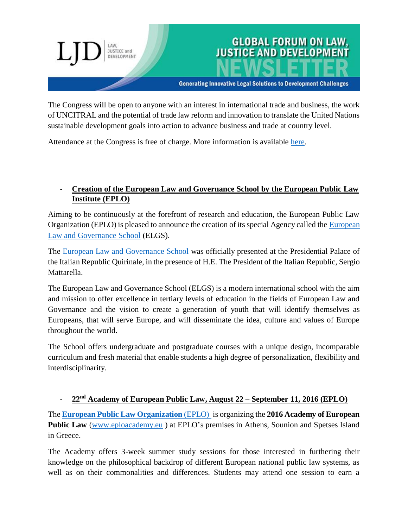#### **Generating Innovative Legal Solutions to Development Challenges**

**GLOBAL FORUM ON LAW, JUSTICE AND DEVELOPMENT** 

The Congress will be open to anyone with an interest in international trade and business, the work of UNCITRAL and the potential of trade law reform and innovation to translate the United Nations sustainable development goals into action to advance business and trade at country level.

Attendance at the Congress is free of charge. More information is available [here.](http://www.uncitral.org/uncitral/en/commission/colloquia/50th-anniversary.html)

**JUSTICE and** DEVELOPMENT

#### - **Creation of the European Law and Governance School by the European Public Law Institute (EPLO)**

Aiming to be continuously at the forefront of research and education, the European Public Law Organization (EPLO) is pleased to announce the creation of its special Agency called the [European](http://www.elgs.eu/)  [Law and Governance School](http://www.elgs.eu/) (ELGS).

The [European Law and Governance School](http://www.elgs.eu/) was officially presented at the Presidential Palace of the Italian Republic Quirinale, in the presence of H.E. The President of the Italian Republic, Sergio Mattarella.

The European Law and Governance School (ELGS) is a modern international school with the aim and mission to offer excellence in tertiary levels of education in the fields of European Law and Governance and the vision to create a generation of youth that will identify themselves as Europeans, that will serve Europe, and will disseminate the idea, culture and values of Europe throughout the world.

The School offers undergraduate and postgraduate courses with a unique design, incomparable curriculum and fresh material that enable students a high degree of personalization, flexibility and interdisciplinarity.

#### - **22nd Academy of European Public Law, August 22 – September 11, 2016 (EPLO)**

The **[European Public Law Organization](http://www.eplo.eu/)** (EPLO) is organizing the **2016 Academy of European Public Law** [\(www.eploacademy.eu](http://www.eploacademy.eu/) ) at EPLO's premises in Athens, Sounion and Spetses Island in Greece.

The Academy offers 3-week summer study sessions for those interested in furthering their knowledge on the philosophical backdrop of different European national public law systems, as well as on their commonalities and differences. Students may attend one session to earn a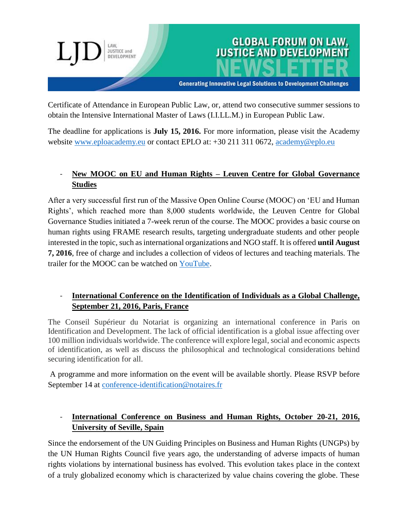

Certificate of Attendance in European Public Law, or, attend two consecutive summer sessions to obtain the Intensive International Master of Laws (I.I.LL.M.) in European Public Law.

The deadline for applications is **July 15, 2016.** For more information, please visit the Academy website [www.eploacademy.eu](http://www.eploacademy.eu/) or contact EPLO at: +30 211 311 0672, [academy@eplo.eu](mailto:academy@eplo.eu)

## - **New MOOC on EU and Human Rights – Leuven Centre for Global Governance Studies**

After a very successful first run of the Massive Open Online Course (MOOC) on 'EU and Human Rights', which reached more than 8,000 students worldwide, the Leuven Centre for Global Governance Studies initiated a 7-week rerun of the course. The MOOC provides a basic course on human rights using FRAME research results, targeting undergraduate students and other people interested in the topic, such as international organizations and NGO staff. It is offered **until August 7, 2016**, free of charge and includes a collection of videos of lectures and teaching materials. The trailer for the MOOC can be watched on [YouTube.](https://www.youtube.com/watch?v=WBF94joEAyA)

## - **International Conference on the Identification of Individuals as a Global Challenge, September 21, 2016, Paris, France**

The Conseil Supérieur du Notariat is organizing an international conference in Paris on Identification and Development. The lack of official identification is a global issue affecting over 100 million individuals worldwide. The conference will explore legal, social and economic aspects of identification, as well as discuss the philosophical and technological considerations behind securing identification for all.

A programme and more information on the event will be available shortly. Please RSVP before September 14 at [conference-identification@notaires.fr](mailto:conference-identification@notaires.fr)

# - **International Conference on Business and Human Rights, October 20-21, 2016, University of Seville, Spain**

Since the endorsement of the UN Guiding Principles on Business and Human Rights (UNGPs) by the UN Human Rights Council five years ago, the understanding of adverse impacts of human rights violations by international business has evolved. This evolution takes place in the context of a truly globalized economy which is characterized by value chains covering the globe. These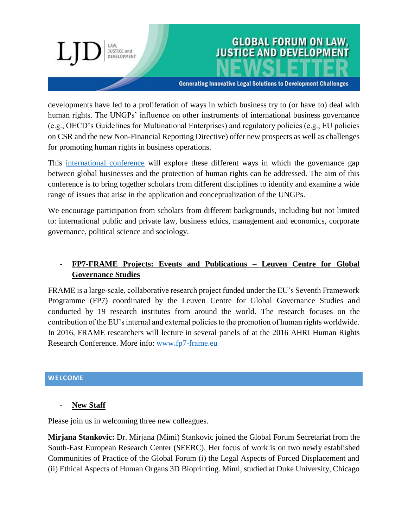developments have led to a proliferation of ways in which business try to (or have to) deal with human rights. The UNGPs' influence on other instruments of international business governance

**GLOBAL FORUM ON LAW,** 

**JUSTICE AND DEVELOPME** 

**Generating Innovative Legal Solutions to Development Challenges** 

(e.g., OECD's Guidelines for Multinational Enterprises) and regulatory policies (e.g., EU policies on CSR and the new Non-Financial Reporting Directive) offer new prospects as well as challenges for promoting human rights in business operations.

This [international conference](https://business-humanrights.org/en/international-conference-on-business-and-human-rights) will explore these different ways in which the governance gap between global businesses and the protection of human rights can be addressed. The aim of this conference is to bring together scholars from different disciplines to identify and examine a wide range of issues that arise in the application and conceptualization of the UNGPs.

We encourage participation from scholars from different backgrounds, including but not limited to: international public and private law, business ethics, management and economics, corporate governance, political science and sociology.

# - **FP7-FRAME Projects: Events and Publications – Leuven Centre for Global Governance Studies**

FRAME is a large-scale, collaborative research project funded under the EU's Seventh Framework Programme (FP7) coordinated by the Leuven Centre for Global Governance Studies and conducted by 19 research institutes from around the world. The research focuses on the contribution of the EU's internal and external policies to the promotion of human rights worldwide. In 2016, FRAME researchers will lecture in several panels of at the 2016 AHRI Human Rights Research Conference. More info: [www.fp7-frame.eu](http://www.fp7-frame.eu/)

#### **WELCOME**

**New Staff** 

Please join us in welcoming three new colleagues.

**JUSTICE and** DEVELOPMENT

**Mirjana Stankovic:** Dr. Mirjana (Mimi) Stankovic joined the Global Forum Secretariat from the South-East European Research Center (SEERC). Her focus of work is on two newly established Communities of Practice of the Global Forum (i) the Legal Aspects of Forced Displacement and (ii) Ethical Aspects of Human Organs 3D Bioprinting. Mimi, studied at Duke University, Chicago